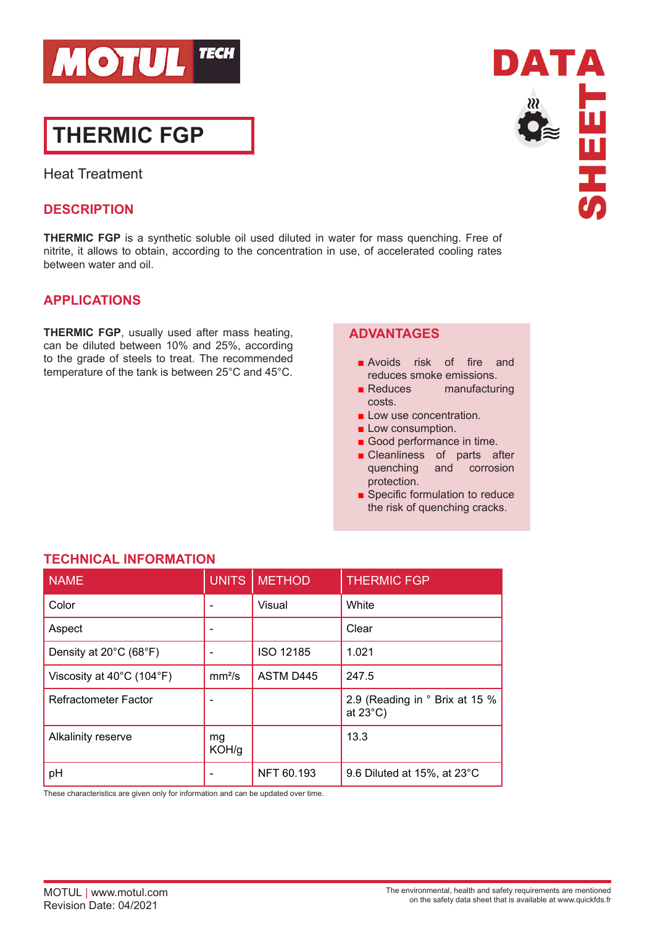

# **THERMIC FGP**

Heat Treatment

## **DESCRIPTION**

**THERMIC FGP** is a synthetic soluble oil used diluted in water for mass quenching. Free of nitrite, it allows to obtain, according to the concentration in use, of accelerated cooling rates between water and oil.

# **APPLICATIONS**

**THERMIC FGP**, usually used after mass heating, can be diluted between 10% and 25%, according to the grade of steels to treat. The recommended temperature of the tank is between 25°C and 45°C.

## **ADVANTAGES**

- Avoids risk of fire and reduces smoke emissions.
- Reduces manufacturing costs.
- Low use concentration.
- Low consumption.
- Good performance in time.
- Cleanliness of parts after quenching and corrosion protection.
- Specific formulation to reduce the risk of quenching cracks.

| <b>NAME</b>               | <b>UNITS</b>       | <b>METHOD</b>    | <b>THERMIC FGP</b>                                   |
|---------------------------|--------------------|------------------|------------------------------------------------------|
| Color                     |                    | Visual           | White                                                |
| Aspect                    |                    |                  | Clear                                                |
| Density at 20°C (68°F)    |                    | ISO 12185        | 1.021                                                |
| Viscosity at 40°C (104°F) | mm <sup>2</sup> /s | <b>ASTM D445</b> | 247.5                                                |
| Refractometer Factor      |                    |                  | 2.9 (Reading in ° Brix at 15 %<br>at $23^{\circ}$ C) |
| Alkalinity reserve        | mg<br>KOH/g        |                  | 13.3                                                 |
| pH                        |                    | NFT 60.193       | 9.6 Diluted at $15\%$ , at $23^{\circ}$ C            |

# **TECHNICAL INFORMATION**

These characteristics are given only for information and can be updated over time.